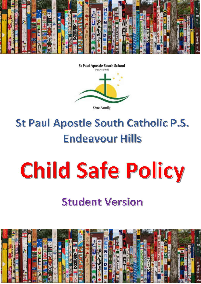

**St Paul Apostle South School** Forde assourchfills

One Family

#### St Paul Apostle South Catholic P.S. **Endeavour Hills**

# Child Safe Policy

#### **Student Version**

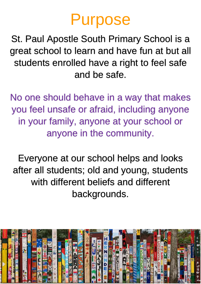#### Purpose

St. Paul Apostle South Primary School is a great school to learn and have fun at but all students enrolled have a right to feel safe and be safe.

No one should behave in a way that makes you feel unsafe or afraid, including anyone in your family, anyone at your school or anyone in the community.

Everyone at our school helps and looks after all students; old and young, students with different beliefs and different backgrounds.

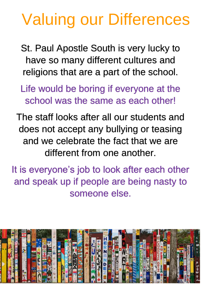## Valuing our Differences

- St. Paul Apostle South is very lucky to have so many different cultures and religions that are a part of the school.
- Life would be boring if everyone at the school was the same as each other!
- The staff looks after all our students and does not accept any bullying or teasing and we celebrate the fact that we are different from one another.
- It is everyone's job to look after each other and speak up if people are being nasty to someone else.

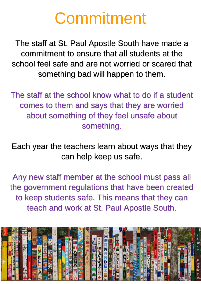### Commitment

The staff at St. Paul Apostle South have made a commitment to ensure that all students at the school feel safe and are not worried or scared that something bad will happen to them.

The staff at the school know what to do if a student comes to them and says that they are worried about something of they feel unsafe about something.

Each year the teachers learn about ways that they can help keep us safe.

Any new staff member at the school must pass all the government regulations that have been created to keep students safe. This means that they can teach and work at St. Paul Apostle South.

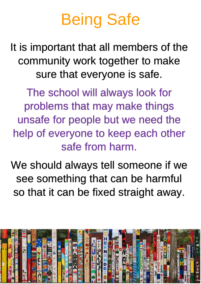# Being Safe

It is important that all members of the community work together to make sure that everyone is safe.

The school will always look for problems that may make things unsafe for people but we need the help of everyone to keep each other safe from harm.

We should always tell someone if we see something that can be harmful so that it can be fixed straight away.

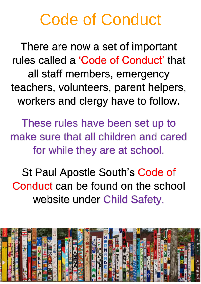#### Code of Conduct

There are now a set of important rules called a 'Code of Conduct' that all staff members, emergency teachers, volunteers, parent helpers, workers and clergy have to follow.

These rules have been set up to make sure that all children and cared for while they are at school.

St Paul Apostle South's Code of Conduct can be found on the school website under Child Safety.

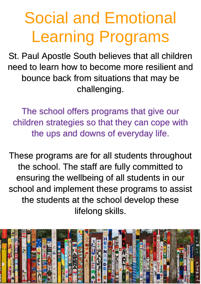# Social and Emotional Learning Programs

St. Paul Apostle South believes that all children need to learn how to become more resilient and bounce back from situations that may be challenging.

The school offers programs that give our children strategies so that they can cope with the ups and downs of everyday life.

These programs are for all students throughout the school. The staff are fully committed to ensuring the wellbeing of all students in our school and implement these programs to assist the students at the school develop these lifelong skills.